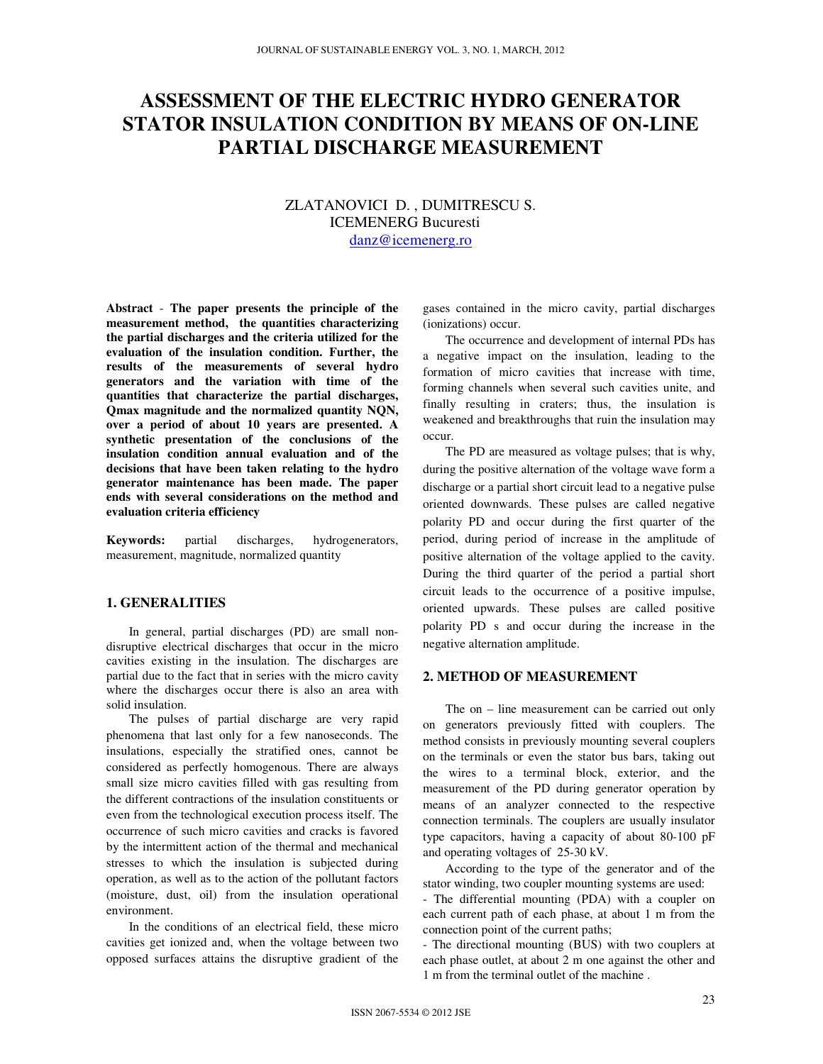# **ASSESSMENT OF THE ELECTRIC HYDRO GENERATOR STATOR INSULATION CONDITION BY MEANS OF ON-LINE PARTIAL DISCHARGE MEASUREMENT**

# ZLATANOVICI D. , DUMITRESCU S. ICEMENERG Bucuresti danz@icemenerg.ro

**Abstract** - **The paper presents the principle of the measurement method, the quantities characterizing the partial discharges and the criteria utilized for the evaluation of the insulation condition. Further, the results of the measurements of several hydro generators and the variation with time of the quantities that characterize the partial discharges, Qmax magnitude and the normalized quantity NQN, over a period of about 10 years are presented. A synthetic presentation of the conclusions of the insulation condition annual evaluation and of the decisions that have been taken relating to the hydro generator maintenance has been made. The paper ends with several considerations on the method and evaluation criteria efficiency** 

**Keywords:** partial discharges, hydrogenerators, measurement, magnitude, normalized quantity

#### **1. GENERALITIES**

In general, partial discharges (PD) are small nondisruptive electrical discharges that occur in the micro cavities existing in the insulation. The discharges are partial due to the fact that in series with the micro cavity where the discharges occur there is also an area with solid insulation.

The pulses of partial discharge are very rapid phenomena that last only for a few nanoseconds. The insulations, especially the stratified ones, cannot be considered as perfectly homogenous. There are always small size micro cavities filled with gas resulting from the different contractions of the insulation constituents or even from the technological execution process itself. The occurrence of such micro cavities and cracks is favored by the intermittent action of the thermal and mechanical stresses to which the insulation is subjected during operation, as well as to the action of the pollutant factors (moisture, dust, oil) from the insulation operational environment.

In the conditions of an electrical field, these micro cavities get ionized and, when the voltage between two opposed surfaces attains the disruptive gradient of the gases contained in the micro cavity, partial discharges (ionizations) occur.

The occurrence and development of internal PDs has a negative impact on the insulation, leading to the formation of micro cavities that increase with time, forming channels when several such cavities unite, and finally resulting in craters; thus, the insulation is weakened and breakthroughs that ruin the insulation may occur.

The PD are measured as voltage pulses; that is why, during the positive alternation of the voltage wave form a discharge or a partial short circuit lead to a negative pulse oriented downwards. These pulses are called negative polarity PD and occur during the first quarter of the period, during period of increase in the amplitude of positive alternation of the voltage applied to the cavity. During the third quarter of the period a partial short circuit leads to the occurrence of a positive impulse, oriented upwards. These pulses are called positive polarity PD s and occur during the increase in the negative alternation amplitude.

# **2. METHOD OF MEASUREMENT**

The on – line measurement can be carried out only on generators previously fitted with couplers. The method consists in previously mounting several couplers on the terminals or even the stator bus bars, taking out the wires to a terminal block, exterior, and the measurement of the PD during generator operation by means of an analyzer connected to the respective connection terminals. The couplers are usually insulator type capacitors, having a capacity of about 80-100 pF and operating voltages of 25-30 kV.

According to the type of the generator and of the stator winding, two coupler mounting systems are used:

- The differential mounting (PDA) with a coupler on each current path of each phase, at about 1 m from the connection point of the current paths;

- The directional mounting (BUS) with two couplers at each phase outlet, at about 2 m one against the other and 1 m from the terminal outlet of the machine .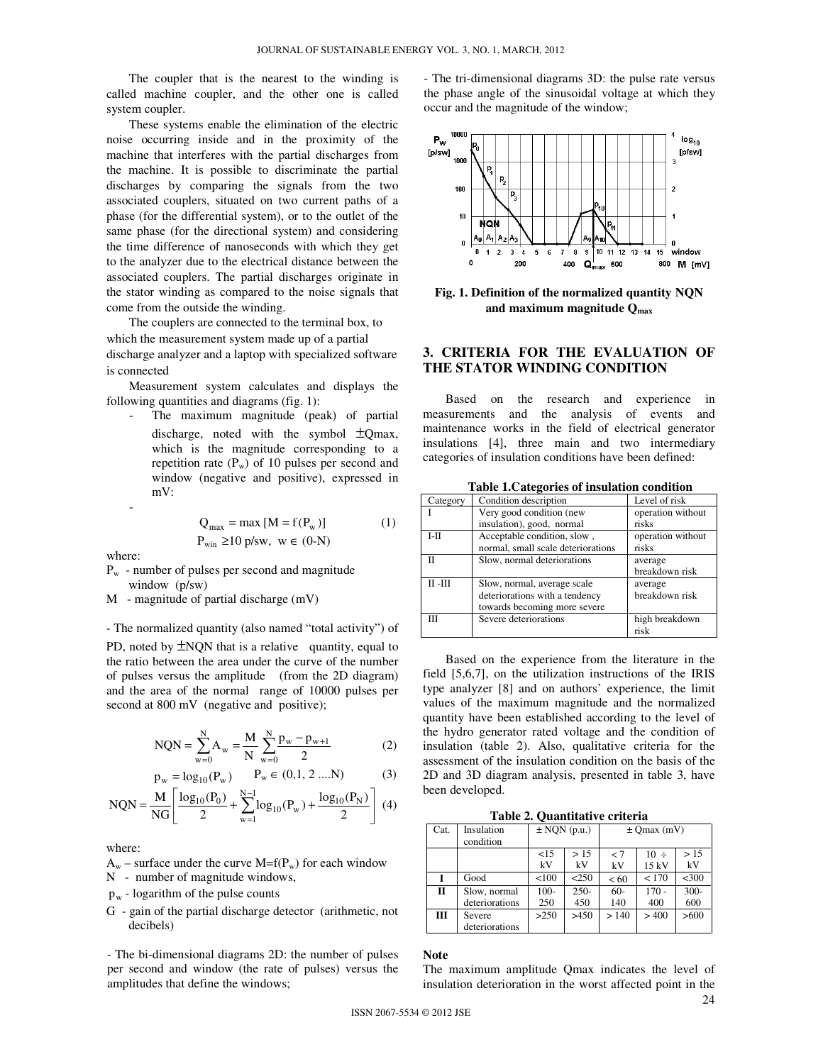The coupler that is the nearest to the winding is called machine coupler, and the other one is called system coupler.

These systems enable the elimination of the electric noise occurring inside and in the proximity of the machine that interferes with the partial discharges from the machine. It is possible to discriminate the partial discharges by comparing the signals from the two associated couplers, situated on two current paths of a phase (for the differential system), or to the outlet of the same phase (for the directional system) and considering the time difference of nanoseconds with which they get to the analyzer due to the electrical distance between the associated couplers. The partial discharges originate in the stator winding as compared to the noise signals that come from the outside the winding.

The couplers are connected to the terminal box, to which the measurement system made up of a partial discharge analyzer and a laptop with specialized software is connected

Measurement system calculates and displays the following quantities and diagrams (fig. 1):

The maximum magnitude (peak) of partial discharge, noted with the symbol  $\pm$ Qmax, which is the magnitude corresponding to a repetition rate  $(P_w)$  of 10 pulses per second and window (negative and positive), expressed in mV:

$$
Q_{\text{max}} = \max [M = f(P_w)] \tag{1}
$$
  
\n
$$
P_{\text{win}} \ge 10 \text{ p/sw}, \ \ w \in (0-N)
$$

where:

-

- $P_w$  number of pulses per second and magnitude window (p/sw)
- M magnitude of partial discharge (mV)

- The normalized quantity (also named "total activity") of

PD, noted by  $\pm NQN$  that is a relative quantity, equal to the ratio between the area under the curve of the number of pulses versus the amplitude (from the 2D diagram) and the area of the normal range of 10000 pulses per second at 800 mV (negative and positive);

$$
NQN = \sum_{w=0}^{N} A_w = \frac{M}{N} \sum_{w=0}^{N} \frac{p_w - p_{w+1}}{2}
$$
 (2)

$$
p_w = log_{10}(P_w) \qquad P_w \in (0, 1, 2 \dots N) \tag{3}
$$

$$
NQN = \frac{M}{NG} \left[ \frac{\log_{10}(P_0)}{2} + \sum_{w=1}^{N-1} \log_{10}(P_w) + \frac{\log_{10}(P_N)}{2} \right] (4)
$$

where:

- $A_w$  surface under the curve M=f(P<sub>w</sub>) for each window
- N number of magnitude windows,
- $p_w$  logarithm of the pulse counts
- G gain of the partial discharge detector (arithmetic, not decibels)

- The bi-dimensional diagrams 2D: the number of pulses per second and window (the rate of pulses) versus the amplitudes that define the windows;

- The tri-dimensional diagrams 3D: the pulse rate versus the phase angle of the sinusoidal voltage at which they occur and the magnitude of the window;



**Fig. 1. Definition of the normalized quantity NQN and maximum magnitude Qmax** 

# **3. CRITERIA FOR THE EVALUATION OF THE STATOR WINDING CONDITION**

Based on the research and experience in measurements and the analysis of events and maintenance works in the field of electrical generator insulations [4], three main and two intermediary categories of insulation conditions have been defined:

| rabic ricalegories or msulation condition |                                    |                   |  |  |  |
|-------------------------------------------|------------------------------------|-------------------|--|--|--|
| Category                                  | Condition description              | Level of risk     |  |  |  |
|                                           | Very good condition (new           | operation without |  |  |  |
|                                           | insulation), good, normal          | risks             |  |  |  |
| $I-II$                                    | Acceptable condition, slow,        | operation without |  |  |  |
|                                           | normal, small scale deteriorations | risks             |  |  |  |
| п                                         | Slow, normal deteriorations        | average           |  |  |  |
|                                           |                                    | breakdown risk    |  |  |  |
| $\Pi$ - $\Pi$                             | Slow, normal, average scale        | average           |  |  |  |
|                                           | deteriorations with a tendency     | breakdown risk    |  |  |  |
|                                           | towards becoming more severe       |                   |  |  |  |
| Ш                                         | Severe deteriorations              | high breakdown    |  |  |  |
|                                           |                                    | risk              |  |  |  |

**Table 1.Categories of insulation condition** 

Based on the experience from the literature in the field [5,6,7], on the utilization instructions of the IRIS type analyzer [8] and on authors' experience, the limit values of the maximum magnitude and the normalized quantity have been established according to the level of the hydro generator rated voltage and the condition of insulation (table 2). Also, qualitative criteria for the assessment of the insulation condition on the basis of the 2D and 3D diagram analysis, presented in table 3, have been developed.

**Table 2. Quantitative criteria** 

| Cat.         | Insulation<br>condition        | $\pm$ NQN (p.u.) |                | $\pm$ Omax (mV) |                   |                |
|--------------|--------------------------------|------------------|----------------|-----------------|-------------------|----------------|
|              |                                | <15<br>kV        | > 15<br>kV     | < 7<br>kV       | $10 \div$<br>15kV | >15<br>kV      |
|              | Good                           | < 100            | < 250          | <60             | < 170             | $<$ 300        |
| $\mathbf{H}$ | Slow, normal<br>deteriorations | $100 -$<br>250   | $250 -$<br>450 | $60 -$<br>140   | $170 -$<br>400    | $300 -$<br>600 |
| Ш            | Severe<br>deteriorations       | >250             | >450           | > 140           | >400              | >600           |

# **Note**

The maximum amplitude Qmax indicates the level of insulation deterioration in the worst affected point in the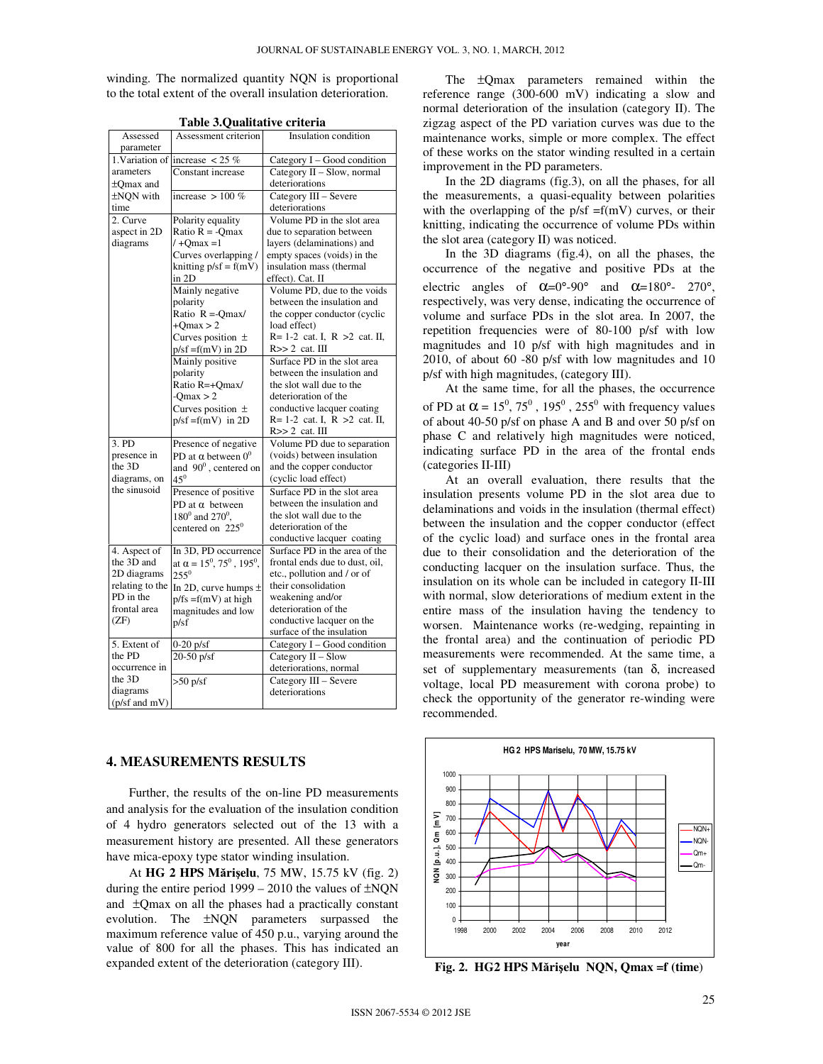winding. The normalized quantity NQN is proportional to the total extent of the overall insulation deterioration.

|                 | rabic siQuantative eriteria      |                                    |  |  |  |
|-----------------|----------------------------------|------------------------------------|--|--|--|
| Assessed        | Assessment criterion             | Insulation condition               |  |  |  |
| parameter       |                                  |                                    |  |  |  |
| 1. Variation of | increase $< 25 \%$               | Category I - Good condition        |  |  |  |
| arameters       | Constant increase                | Category II - Slow, normal         |  |  |  |
| ±Omax and       |                                  | deteriorations                     |  |  |  |
| ±NON with       | increase $> 100\%$               | Category III - Severe              |  |  |  |
| time            |                                  | deteriorations                     |  |  |  |
| 2. Curve        | Polarity equality                | Volume PD in the slot area         |  |  |  |
| aspect in 2D    | Ratio $R = -Qmax$                | due to separation between          |  |  |  |
| diagrams        | $/ +$ Omax = 1                   | layers (delaminations) and         |  |  |  |
|                 | Curves overlapping /             | empty spaces (voids) in the        |  |  |  |
|                 | knitting $p/sf = f(mV)$          | insulation mass (thermal           |  |  |  |
|                 | in 2D                            | effect). Cat. II                   |  |  |  |
|                 | Mainly negative                  | Volume PD, due to the voids        |  |  |  |
|                 | polarity                         | between the insulation and         |  |  |  |
|                 | Ratio $R = -Qmax$                | the copper conductor (cyclic       |  |  |  |
|                 | $+Omax > 2$                      | load effect)                       |  |  |  |
|                 | Curves position $\pm$            | $R = 1-2$ cat. I, $R > 2$ cat. II, |  |  |  |
|                 | $p/sf = f(mV)$ in 2D             | $R>>2$ cat. III                    |  |  |  |
|                 | Mainly positive                  | Surface PD in the slot area        |  |  |  |
|                 | polarity                         | between the insulation and         |  |  |  |
|                 | Ratio R=+Qmax/                   | the slot wall due to the           |  |  |  |
|                 | $-Omax > 2$                      | deterioration of the               |  |  |  |
|                 | Curves position $\pm$            | conductive lacquer coating         |  |  |  |
|                 | $p/sf = f(mV)$ in 2D             | $R = 1-2$ cat. I, $R > 2$ cat. II, |  |  |  |
|                 |                                  | $R>>2$ cat. $III$                  |  |  |  |
| 3. PD           | Presence of negative             | Volume PD due to separation        |  |  |  |
| presence in     | PD at $\alpha$ between $0^0$     | (voids) between insulation         |  |  |  |
| the 3D          | and $90^0$ , centered on         | and the copper conductor           |  |  |  |
| diagrams, on    | $45^{0}$                         | (cyclic load effect)               |  |  |  |
| the sinusoid    | Presence of positive             | Surface PD in the slot area        |  |  |  |
|                 | PD at $\alpha$ between           | between the insulation and         |  |  |  |
|                 | $180^0$ and $270^0$ .            | the slot wall due to the           |  |  |  |
|                 | centered on $225^\circ$          | deterioration of the               |  |  |  |
|                 |                                  | conductive lacquer coating         |  |  |  |
| 4. Aspect of    | In 3D, PD occurrence             | Surface PD in the area of the      |  |  |  |
| the 3D and      | at $\alpha = 15^0, 75^0, 195^0,$ | frontal ends due to dust, oil,     |  |  |  |
| 2D diagrams     | $255^0$                          | etc., pollution and / or of        |  |  |  |
| relating to the | In 2D, curve humps $\pm$         | their consolidation                |  |  |  |
| PD in the       | $p$ /fs =f(mV) at high           | weakening and/or                   |  |  |  |
| frontal area    | magnitudes and low               | deterioration of the               |  |  |  |
| (ZF)            | p/sf                             | conductive lacquer on the          |  |  |  |
|                 |                                  | surface of the insulation          |  |  |  |
| 5. Extent of    | $0-20$ p/sf                      | Category I - Good condition        |  |  |  |
| the PD          | $20-50$ p/sf                     | Category II - Slow                 |  |  |  |
| occurrence in   |                                  | deteriorations, normal             |  |  |  |
| the 3D          | $>50$ p/sf                       | Category III - Severe              |  |  |  |
| diagrams        |                                  | deteriorations                     |  |  |  |
| (p/sf and mV)   |                                  |                                    |  |  |  |

**Table 3.Qualitative criteria** 

### **4. MEASUREMENTS RESULTS**

Further, the results of the on-line PD measurements and analysis for the evaluation of the insulation condition of 4 hydro generators selected out of the 13 with a measurement history are presented. All these generators have mica-epoxy type stator winding insulation.

At **HG 2 HPS M**ă**ri**ş**elu**, 75 MW, 15.75 kV (fig. 2) during the entire period  $1999 - 2010$  the values of  $\pm NQN$ and ±Qmax on all the phases had a practically constant evolution. The ±NQN parameters surpassed the maximum reference value of 450 p.u., varying around the value of 800 for all the phases. This has indicated an expanded extent of the deterioration (category III).

The ±Qmax parameters remained within the reference range (300-600 mV) indicating a slow and normal deterioration of the insulation (category II). The zigzag aspect of the PD variation curves was due to the maintenance works, simple or more complex. The effect of these works on the stator winding resulted in a certain improvement in the PD parameters.

In the 2D diagrams (fig.3), on all the phases, for all the measurements, a quasi-equality between polarities with the overlapping of the  $p/sf = f(mV)$  curves, or their knitting, indicating the occurrence of volume PDs within the slot area (category II) was noticed.

In the 3D diagrams (fig.4), on all the phases, the occurrence of the negative and positive PDs at the electric angles of  $\alpha = 0^{\circ} - 90^{\circ}$  and  $\alpha = 180^{\circ} - 270^{\circ}$ , respectively, was very dense, indicating the occurrence of volume and surface PDs in the slot area. In 2007, the repetition frequencies were of 80-100 p/sf with low magnitudes and 10 p/sf with high magnitudes and in 2010, of about 60 -80 p/sf with low magnitudes and 10 p/sf with high magnitudes, (category III).

At the same time, for all the phases, the occurrence of PD at  $\alpha = 15^0$ ,  $75^0$ ,  $195^0$ ,  $255^0$  with frequency values of about 40-50 p/sf on phase A and B and over 50 p/sf on phase C and relatively high magnitudes were noticed, indicating surface PD in the area of the frontal ends (categories II-III)

At an overall evaluation, there results that the insulation presents volume PD in the slot area due to delaminations and voids in the insulation (thermal effect) between the insulation and the copper conductor (effect of the cyclic load) and surface ones in the frontal area due to their consolidation and the deterioration of the conducting lacquer on the insulation surface. Thus, the insulation on its whole can be included in category II-III with normal, slow deteriorations of medium extent in the entire mass of the insulation having the tendency to worsen. Maintenance works (re-wedging, repainting in the frontal area) and the continuation of periodic PD measurements were recommended. At the same time, a set of supplementary measurements (tan  $\delta$ , increased voltage, local PD measurement with corona probe) to check the opportunity of the generator re-winding were recommended.



**Fig. 2. HG2 HPS M**ă**ri**ş**elu NQN, Qmax =f (time**)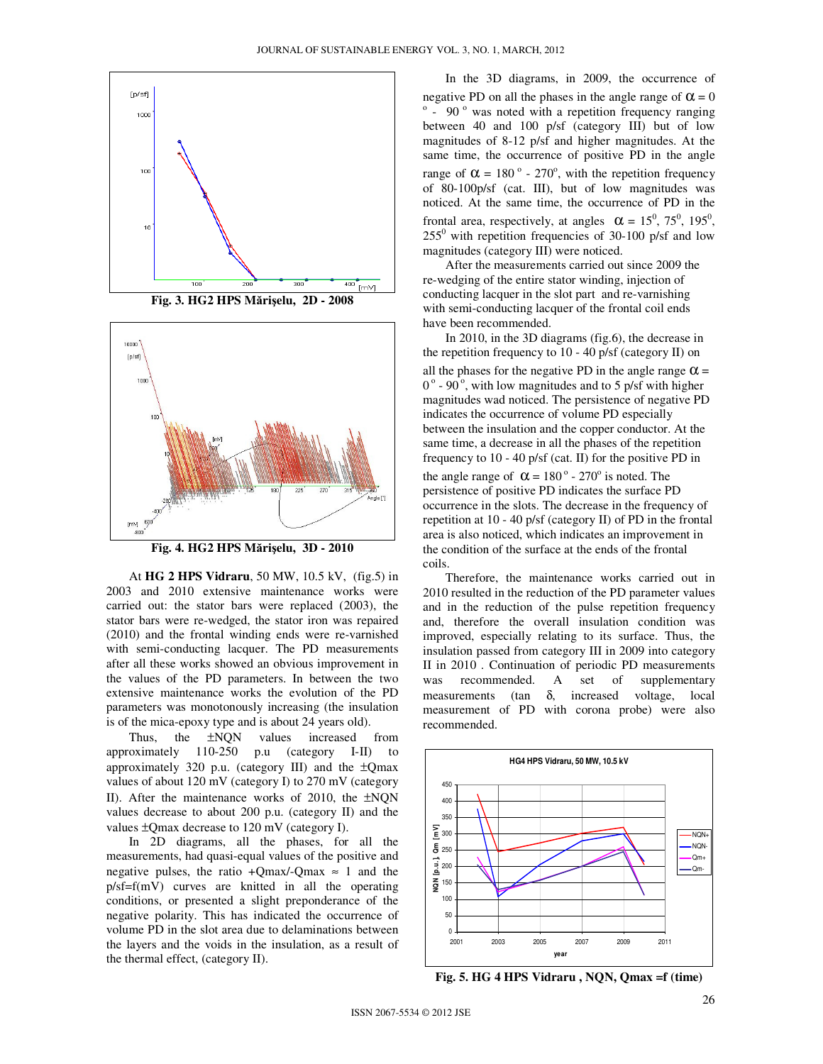

**Fig. 3. HG2 HPS M**ă**ri**ş**elu, 2D - 2008** 



**Fig. 4. HG2 HPS M**ă**ri**ş**elu, 3D - 2010** 

At **HG 2 HPS Vidraru**, 50 MW, 10.5 kV, (fig.5) in 2003 and 2010 extensive maintenance works were carried out: the stator bars were replaced (2003), the stator bars were re-wedged, the stator iron was repaired (2010) and the frontal winding ends were re-varnished with semi-conducting lacquer. The PD measurements after all these works showed an obvious improvement in the values of the PD parameters. In between the two extensive maintenance works the evolution of the PD parameters was monotonously increasing (the insulation is of the mica-epoxy type and is about 24 years old).

Thus, the  $\pm NQN$  values increased from approximately 110-250 p.u (category I-II) to approximately 320 p.u. (category III) and the ±Qmax values of about 120 mV (category I) to 270 mV (category II). After the maintenance works of 2010, the ±NQN values decrease to about 200 p.u. (category II) and the values ±Qmax decrease to 120 mV (category I).

In 2D diagrams, all the phases, for all the measurements, had quasi-equal values of the positive and negative pulses, the ratio +Qmax/-Qmax  $\approx$  1 and the p/sf=f(mV) curves are knitted in all the operating conditions, or presented a slight preponderance of the negative polarity. This has indicated the occurrence of volume PD in the slot area due to delaminations between the layers and the voids in the insulation, as a result of the thermal effect, (category II).

In the 3D diagrams, in 2009, the occurrence of negative PD on all the phases in the angle range of  $\alpha = 0$  $\degree$  - 90 $\degree$  was noted with a repetition frequency ranging between 40 and 100 p/sf (category III) but of low magnitudes of 8-12 p/sf and higher magnitudes. At the same time, the occurrence of positive PD in the angle range of  $\alpha = 180^\circ$  - 270°, with the repetition frequency of 80-100p/sf (cat. III), but of low magnitudes was noticed. At the same time, the occurrence of PD in the frontal area, respectively, at angles  $\alpha = 15^0, 75^0, 195^0,$  $255^{\circ}$  with repetition frequencies of 30-100 p/sf and low magnitudes (category III) were noticed.

After the measurements carried out since 2009 the re-wedging of the entire stator winding, injection of conducting lacquer in the slot part and re-varnishing with semi-conducting lacquer of the frontal coil ends have been recommended.

In 2010, in the 3D diagrams (fig.6), the decrease in the repetition frequency to 10 - 40 p/sf (category II) on all the phases for the negative PD in the angle range  $\alpha$  =  $0^{\circ}$  - 90<sup>°</sup>, with low magnitudes and to 5 p/sf with higher magnitudes wad noticed. The persistence of negative PD indicates the occurrence of volume PD especially between the insulation and the copper conductor. At the same time, a decrease in all the phases of the repetition frequency to 10 - 40 p/sf (cat. II) for the positive PD in the angle range of  $\alpha = 180^\circ$  - 270° is noted. The persistence of positive PD indicates the surface PD occurrence in the slots. The decrease in the frequency of repetition at 10 - 40 p/sf (category II) of PD in the frontal area is also noticed, which indicates an improvement in the condition of the surface at the ends of the frontal coils.

Therefore, the maintenance works carried out in 2010 resulted in the reduction of the PD parameter values and in the reduction of the pulse repetition frequency and, therefore the overall insulation condition was improved, especially relating to its surface. Thus, the insulation passed from category III in 2009 into category II in 2010 . Continuation of periodic PD measurements was recommended. A set of supplementary measurements (tan δ, increased voltage, local measurement of PD with corona probe) were also recommended.



**Fig. 5. HG 4 HPS Vidraru , NQN, Qmax =f (time)**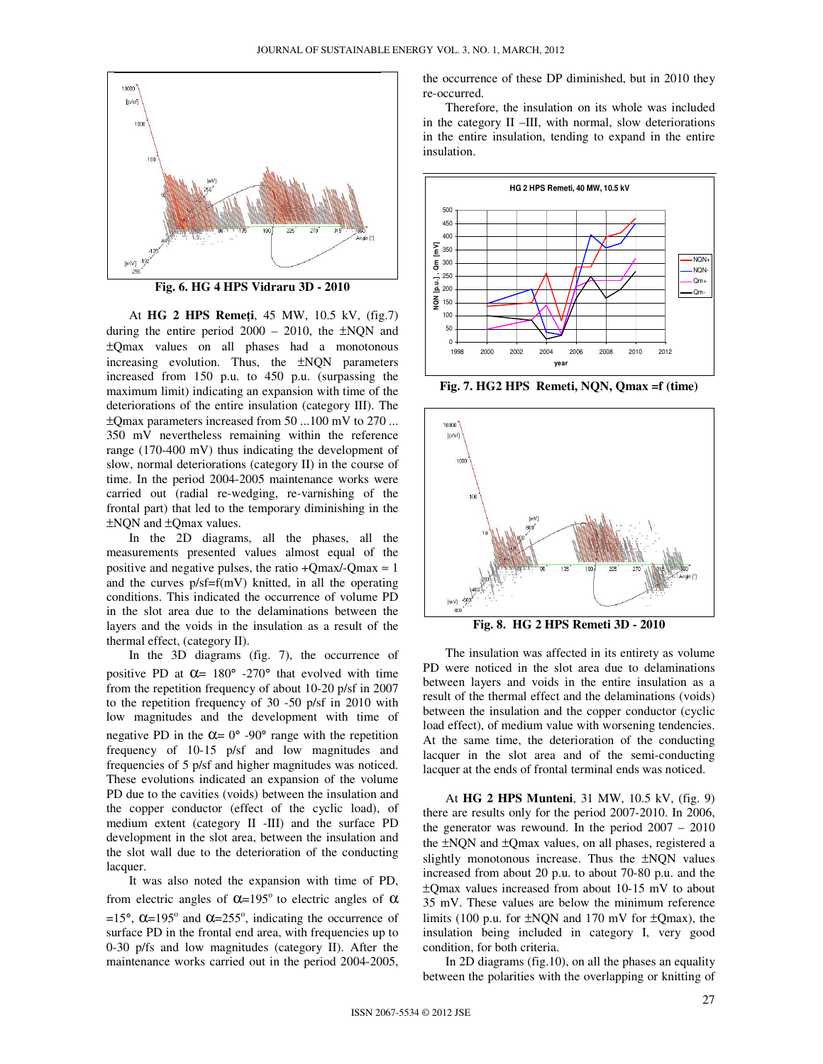

**Fig. 6. HG 4 HPS Vidraru 3D - 2010** 

At **HG 2 HPS Reme**ţ**i**, 45 MW, 10.5 kV, (fig.7) during the entire period 2000 – 2010, the ±NQN and ±Qmax values on all phases had a monotonous increasing evolution. Thus, the ±NQN parameters increased from 150 p.u. to 450 p.u. (surpassing the maximum limit) indicating an expansion with time of the deteriorations of the entire insulation (category III). The ±Qmax parameters increased from 50 ...100 mV to 270 ... 350 mV nevertheless remaining within the reference range (170-400 mV) thus indicating the development of slow, normal deteriorations (category II) in the course of time. In the period 2004-2005 maintenance works were carried out (radial re-wedging, re-varnishing of the frontal part) that led to the temporary diminishing in the ±NQN and ±Qmax values.

In the 2D diagrams, all the phases, all the measurements presented values almost equal of the positive and negative pulses, the ratio +Qmax/-Qmax  $\approx$  1 and the curves p/sf=f(mV) knitted, in all the operating conditions. This indicated the occurrence of volume PD in the slot area due to the delaminations between the layers and the voids in the insulation as a result of the thermal effect, (category II).

In the 3D diagrams (fig. 7), the occurrence of positive PD at  $\alpha$ = 180° -270° that evolved with time from the repetition frequency of about 10-20 p/sf in 2007 to the repetition frequency of 30 -50 p/sf in 2010 with low magnitudes and the development with time of negative PD in the  $\alpha = 0^{\circ}$  -90° range with the repetition frequency of 10-15 p/sf and low magnitudes and frequencies of 5 p/sf and higher magnitudes was noticed. These evolutions indicated an expansion of the volume PD due to the cavities (voids) between the insulation and the copper conductor (effect of the cyclic load), of medium extent (category II -III) and the surface PD development in the slot area, between the insulation and the slot wall due to the deterioration of the conducting lacquer.

It was also noted the expansion with time of PD, from electric angles of  $\alpha$ =195<sup>o</sup> to electric angles of  $\alpha$ =15°,  $\alpha$ =195° and  $\alpha$ =255°, indicating the occurrence of surface PD in the frontal end area, with frequencies up to 0-30 p/fs and low magnitudes (category II). After the maintenance works carried out in the period 2004-2005,

the occurrence of these DP diminished, but in 2010 they re-occurred.

Therefore, the insulation on its whole was included in the category II –III, with normal, slow deteriorations in the entire insulation, tending to expand in the entire insulation.



**Fig. 7. HG2 HPS Remeti, NQN, Qmax =f (time)** 



The insulation was affected in its entirety as volume PD were noticed in the slot area due to delaminations between layers and voids in the entire insulation as a result of the thermal effect and the delaminations (voids) between the insulation and the copper conductor (cyclic load effect), of medium value with worsening tendencies. At the same time, the deterioration of the conducting lacquer in the slot area and of the semi-conducting lacquer at the ends of frontal terminal ends was noticed.

At **HG 2 HPS Munteni**, 31 MW, 10.5 kV, (fig. 9) there are results only for the period 2007-2010. In 2006, the generator was rewound. In the period 2007 – 2010 the ±NQN and ±Qmax values, on all phases, registered a slightly monotonous increase. Thus the ±NQN values increased from about 20 p.u. to about 70-80 p.u. and the ±Qmax values increased from about 10-15 mV to about 35 mV. These values are below the minimum reference limits (100 p.u. for  $\pm NON$  and 170 mV for  $\pm O$ max), the insulation being included in category I, very good condition, for both criteria.

In 2D diagrams (fig.10), on all the phases an equality between the polarities with the overlapping or knitting of